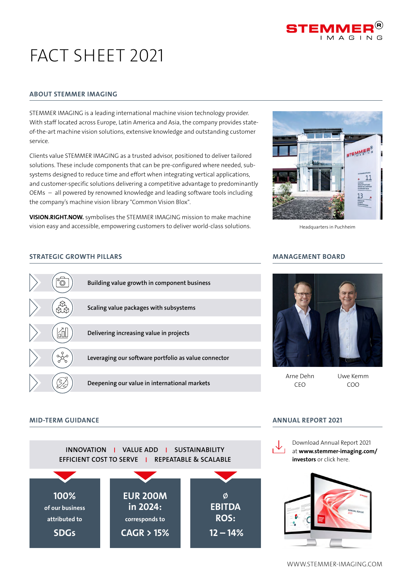

# FACT SHFFT 2021

#### ABOUT STEMMER IMAGING

STEMMER IMAGING is a leading international machine vision technology provider. With staff located across Europe, Latin America and Asia, the company provides stateof-the-art machine vision solutions, extensive knowledge and outstanding customer service.

Clients value STEMMER IMAGING as a trusted advisor, positioned to deliver tailored solutions. These include components that can be pre-configured where needed, subsystems designed to reduce time and effort when integrating vertical applications, and customer-specific solutions delivering a competitive advantage to predominantly OEMs – all powered by renowned knowledge and leading software tools including the company's machine vision library "Common Vision Blox".

VISION.RIGHT.NOW. symbolises the STEMMER IMAGING mission to make machine vision easy and accessible, empowering customers to deliver world-class solutions.

#### STRATEGIC GROWTH PILLARS





Headquarters in Puchheim

#### MANAGEMENT BOARD



Arne Dehn CEO

Uwe Kemm COO

#### MID-TERM GUIDANCE

SDGs



CAGR > 15%

#### ANNUAL REPORT 2021



 $12 - 14%$ 

[Download Annual Report 2021](https://www.stemmer-imaging.com/en-de/financial-reports/)  at www.stemmer-imaging.com/ investors or click here.



WWW.STEMMER-IMAGING.COM